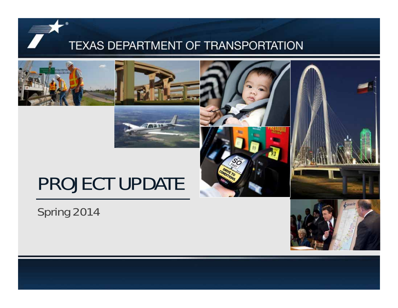





# Spring 2014

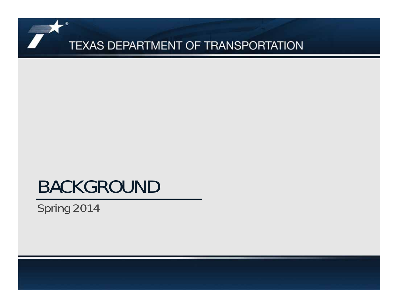# BACKGROUND

Spring 2014

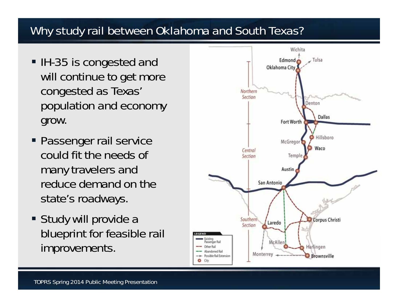# Why study rail between Oklahoma and South Texas?

- IH-35 is congested and will continue to get more congested as Texas' population and economy grow.
- Passenger rail service could fit the needs of many travelers and reduce demand on the state's roadways.
- Study will provide a blueprint for feasible rail improvements.

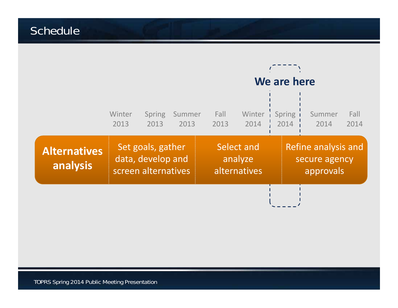## Schedule

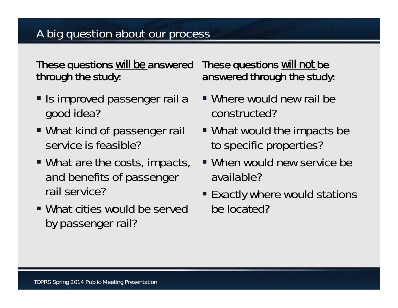# A big question about our process

These questions *will be* answered through the study:

- **Is improved passenger rail a** good idea?
- What kind of passenger rail service is feasible?
- What are the costs, impacts, and benefits of passenger rail service?
- What cities would be served by passenger rail?

These questions *will not* be answered through the study:

- Where would new rail be constructed?
- What would the impacts be to specific properties?
- When would new service be available?
- Exactly where would stations be located?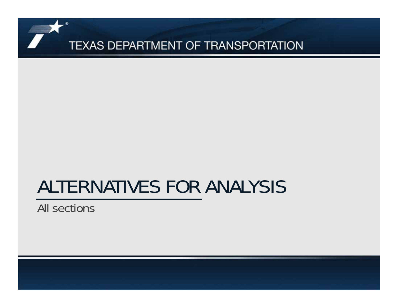# ALTERNATIVES FOR ANALYSIS

All sections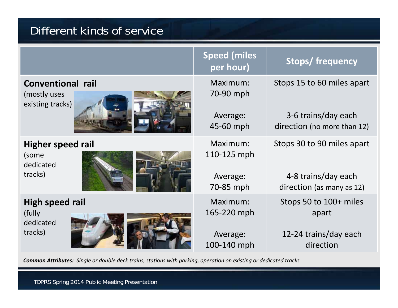# Different kinds of service

|                                                              | <b>Speed (miles</b><br>per hour) | <b>Stops/frequency</b>                             |
|--------------------------------------------------------------|----------------------------------|----------------------------------------------------|
| <b>Conventional rail</b><br>(mostly uses<br>existing tracks) | Maximum:<br>70-90 mph            | Stops 15 to 60 miles apart                         |
|                                                              | Average:<br>$45-60$ mph          | 3-6 trains/day each<br>direction (no more than 12) |
| <b>Higher speed rail</b><br>(some<br>dedicated               | Maximum:<br>110-125 mph          | Stops 30 to 90 miles apart                         |
| tracks)                                                      | Average:<br>70-85 mph            | 4-8 trains/day each<br>direction (as many as 12)   |
| High speed rail<br>(fully)<br>dedicated                      | Maximum:<br>165-220 mph          | Stops 50 to 100+ miles<br>apart                    |
| tracks)                                                      | Average:<br>100-140 mph          | 12-24 trains/day each<br>direction                 |

**Common Attributes:** Single or double deck trains, stations with parking, operation on existing or dedicated tracks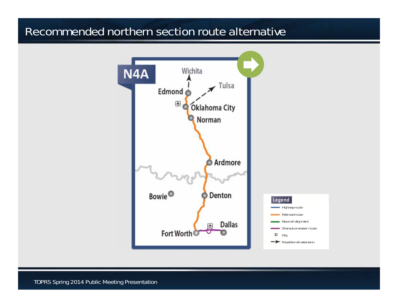#### Recommended northern section route alternative

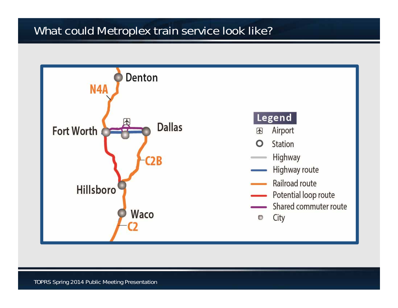# What could Metroplex train service look like?

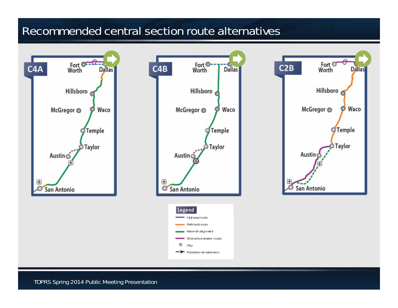#### Recommended central section route alternatives

**Dallas** 

Waco

Temple

Taylor





TOPRS Spring 2014 Public Meeting Presentation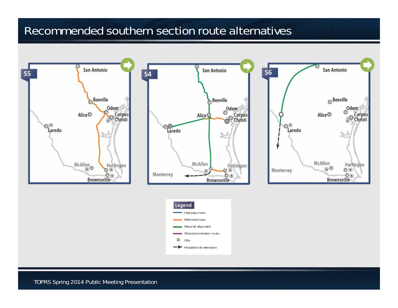#### Recommended southern section route alternatives

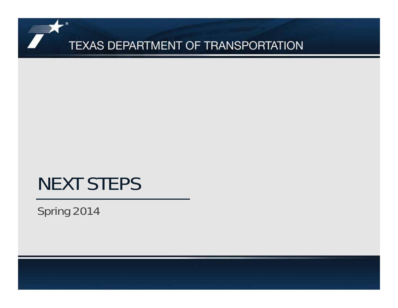# NEXT STEPS

Spring 2014

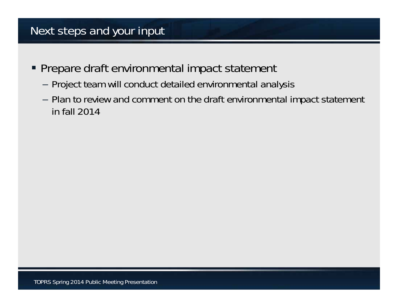## Next steps and your input

- **Prepare draft environmental impact statement** 
	- –Project team will conduct detailed environmental analysis
	- – Plan to review and comment on the draft environmental impact statement in fall 2014